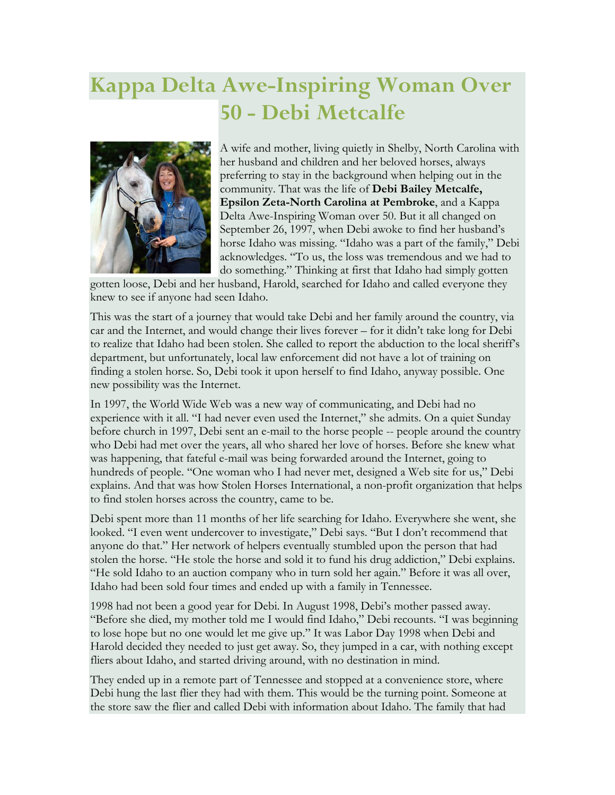## **Kappa Delta Awe-Inspiring Woman Over 50 - Debi Metcalfe**



A wife and mother, living quietly in Shelby, North Carolina with her husband and children and her beloved horses, always preferring to stay in the background when helping out in the community. That was the life of **Debi Bailey Metcalfe, Epsilon Zeta-North Carolina at Pembroke**, and a Kappa Delta Awe-Inspiring Woman over 50. But it all changed on September 26, 1997, when Debi awoke to find her husband's horse Idaho was missing. "Idaho was a part of the family," Debi acknowledges. "To us, the loss was tremendous and we had to do something." Thinking at first that Idaho had simply gotten

gotten loose, Debi and her husband, Harold, searched for Idaho and called everyone they knew to see if anyone had seen Idaho.

This was the start of a journey that would take Debi and her family around the country, via car and the Internet, and would change their lives forever – for it didn't take long for Debi to realize that Idaho had been stolen. She called to report the abduction to the local sheriff's department, but unfortunately, local law enforcement did not have a lot of training on finding a stolen horse. So, Debi took it upon herself to find Idaho, anyway possible. One new possibility was the Internet.

In 1997, the World Wide Web was a new way of communicating, and Debi had no experience with it all. "I had never even used the Internet," she admits. On a quiet Sunday before church in 1997, Debi sent an e-mail to the horse people -- people around the country who Debi had met over the years, all who shared her love of horses. Before she knew what was happening, that fateful e-mail was being forwarded around the Internet, going to hundreds of people. "One woman who I had never met, designed a Web site for us," Debi explains. And that was how Stolen Horses International, a non-profit organization that helps to find stolen horses across the country, came to be.

Debi spent more than 11 months of her life searching for Idaho. Everywhere she went, she looked. "I even went undercover to investigate," Debi says. "But I don't recommend that anyone do that." Her network of helpers eventually stumbled upon the person that had stolen the horse. "He stole the horse and sold it to fund his drug addiction," Debi explains. "He sold Idaho to an auction company who in turn sold her again." Before it was all over, Idaho had been sold four times and ended up with a family in Tennessee.

1998 had not been a good year for Debi. In August 1998, Debi's mother passed away. "Before she died, my mother told me I would find Idaho," Debi recounts. "I was beginning to lose hope but no one would let me give up." It was Labor Day 1998 when Debi and Harold decided they needed to just get away. So, they jumped in a car, with nothing except fliers about Idaho, and started driving around, with no destination in mind.

They ended up in a remote part of Tennessee and stopped at a convenience store, where Debi hung the last flier they had with them. This would be the turning point. Someone at the store saw the flier and called Debi with information about Idaho. The family that had